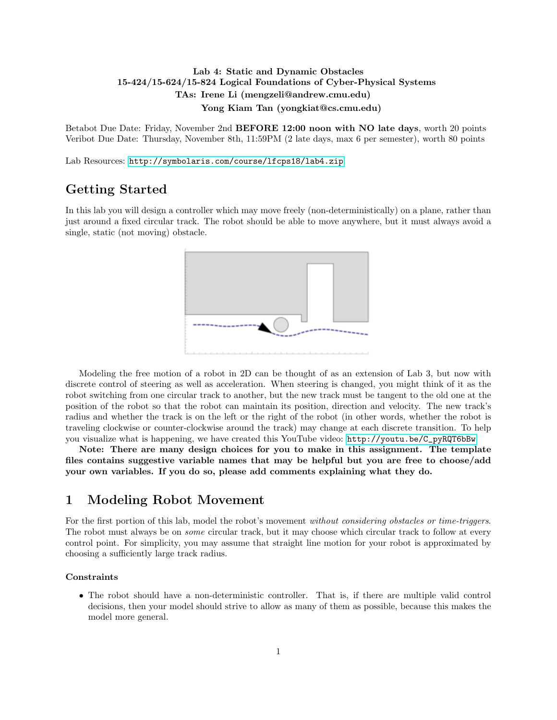### Lab 4: Static and Dynamic Obstacles 15-424/15-624/15-824 Logical Foundations of Cyber-Physical Systems TAs: Irene Li (mengzeli@andrew.cmu.edu) Yong Kiam Tan (yongkiat@cs.cmu.edu)

Betabot Due Date: Friday, November 2nd BEFORE 12:00 noon with NO late days, worth 20 points Veribot Due Date: Thursday, November 8th, 11:59PM (2 late days, max 6 per semester), worth 80 points

Lab Resources: <http://symbolaris.com/course/lfcps18/lab4.zip>

# Getting Started

In this lab you will design a controller which may move freely (non-deterministically) on a plane, rather than just around a fixed circular track. The robot should be able to move anywhere, but it must always avoid a single, static (not moving) obstacle.



Modeling the free motion of a robot in 2D can be thought of as an extension of Lab 3, but now with discrete control of steering as well as acceleration. When steering is changed, you might think of it as the robot switching from one circular track to another, but the new track must be tangent to the old one at the position of the robot so that the robot can maintain its position, direction and velocity. The new track's radius and whether the track is on the left or the right of the robot (in other words, whether the robot is traveling clockwise or counter-clockwise around the track) may change at each discrete transition. To help you visualize what is happening, we have created this YouTube video: [http://youtu.be/C\\_pyRQT6bBw](http://youtu.be/C_pyRQT6bBw)

Note: There are many design choices for you to make in this assignment. The template files contains suggestive variable names that may be helpful but you are free to choose/add your own variables. If you do so, please add comments explaining what they do.

## 1 Modeling Robot Movement

For the first portion of this lab, model the robot's movement *without considering obstacles or time-triggers*. The robot must always be on *some* circular track, but it may choose which circular track to follow at every control point. For simplicity, you may assume that straight line motion for your robot is approximated by choosing a sufficiently large track radius.

#### **Constraints**

• The robot should have a non-deterministic controller. That is, if there are multiple valid control decisions, then your model should strive to allow as many of them as possible, because this makes the model more general.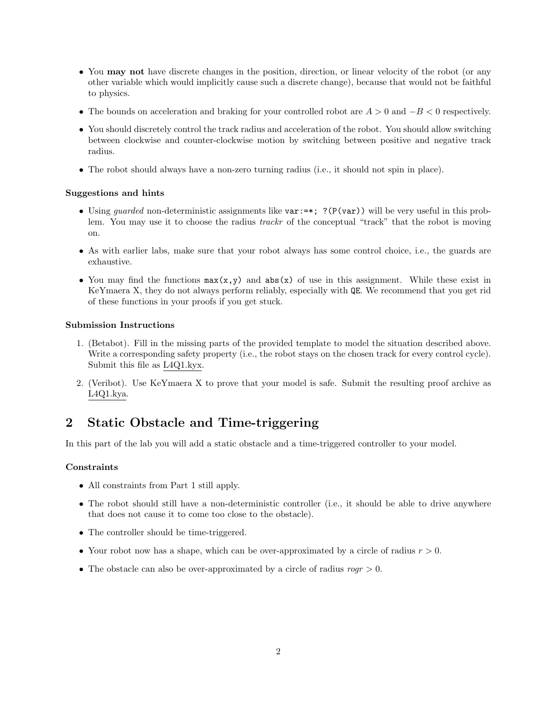- You may not have discrete changes in the position, direction, or linear velocity of the robot (or any other variable which would implicitly cause such a discrete change), because that would not be faithful to physics.
- The bounds on acceleration and braking for your controlled robot are  $A > 0$  and  $-B < 0$  respectively.
- You should discretely control the track radius and acceleration of the robot. You should allow switching between clockwise and counter-clockwise motion by switching between positive and negative track radius.
- The robot should always have a non-zero turning radius (i.e., it should not spin in place).

### Suggestions and hints

- Using quarded non-deterministic assignments like var:=\*; ?(P(var)) will be very useful in this problem. You may use it to choose the radius *trackr* of the conceptual "track" that the robot is moving on.
- As with earlier labs, make sure that your robot always has some control choice, i.e., the guards are exhaustive.
- You may find the functions  $max(x, y)$  and  $abs(x)$  of use in this assignment. While these exist in KeYmaera X, they do not always perform reliably, especially with QE. We recommend that you get rid of these functions in your proofs if you get stuck.

### Submission Instructions

- 1. (Betabot). Fill in the missing parts of the provided template to model the situation described above. Write a corresponding safety property (i.e., the robot stays on the chosen track for every control cycle). Submit this file as L4Q1.kyx.
- 2. (Veribot). Use KeYmaera X to prove that your model is safe. Submit the resulting proof archive as L4Q1.kya.

# 2 Static Obstacle and Time-triggering

In this part of the lab you will add a static obstacle and a time-triggered controller to your model.

### Constraints

- All constraints from Part 1 still apply.
- The robot should still have a non-deterministic controller (i.e., it should be able to drive anywhere that does not cause it to come too close to the obstacle).
- The controller should be time-triggered.
- Your robot now has a shape, which can be over-approximated by a circle of radius  $r > 0$ .
- The obstacle can also be over-approximated by a circle of radius  $r \text{o} ar > 0$ .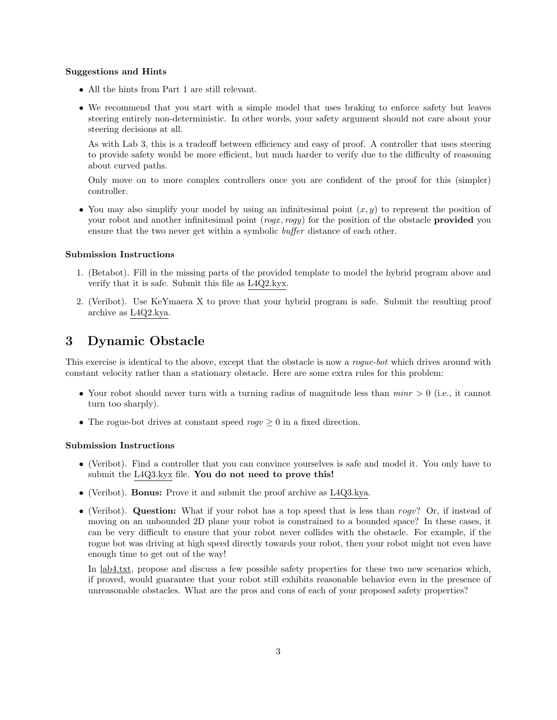#### Suggestions and Hints

- All the hints from Part 1 are still relevant.
- We recommend that you start with a simple model that uses braking to enforce safety but leaves steering entirely non-deterministic. In other words, your safety argument should not care about your steering decisions at all.

As with Lab 3, this is a tradeoff between efficiency and easy of proof. A controller that uses steering to provide safety would be more efficient, but much harder to verify due to the difficulty of reasoning about curved paths.

Only move on to more complex controllers once you are confident of the proof for this (simpler) controller.

• You may also simplify your model by using an infinitesimal point  $(x, y)$  to represent the position of your robot and another infinitesimal point  $(rogx, rogy)$  for the position of the obstacle **provided** you ensure that the two never get within a symbolic *buffer* distance of each other.

#### Submission Instructions

- 1. (Betabot). Fill in the missing parts of the provided template to model the hybrid program above and verify that it is safe. Submit this file as L4Q2.kyx.
- 2. (Veribot). Use KeYmaera X to prove that your hybrid program is safe. Submit the resulting proof archive as L4Q2.kya.

# 3 Dynamic Obstacle

This exercise is identical to the above, except that the obstacle is now a *roque-bot* which drives around with constant velocity rather than a stationary obstacle. Here are some extra rules for this problem:

- Your robot should never turn with a turning radius of magnitude less than  $min \geq 0$  (i.e., it cannot turn too sharply).
- The rogue-bot drives at constant speed  $roqv > 0$  in a fixed direction.

#### Submission Instructions

- (Veribot). Find a controller that you can convince yourselves is safe and model it. You only have to submit the L4Q3.kyx file. You do not need to prove this!
- (Veribot). Bonus: Prove it and submit the proof archive as L4Q3.kya.
- (Veribot). Question: What if your robot has a top speed that is less than  $roqv?$  Or, if instead of moving on an unbounded 2D plane your robot is constrained to a bounded space? In these cases, it can be very difficult to ensure that your robot never collides with the obstacle. For example, if the rogue bot was driving at high speed directly towards your robot, then your robot might not even have enough time to get out of the way!

In lab4.txt, propose and discuss a few possible safety properties for these two new scenarios which, if proved, would guarantee that your robot still exhibits reasonable behavior even in the presence of unreasonable obstacles. What are the pros and cons of each of your proposed safety properties?